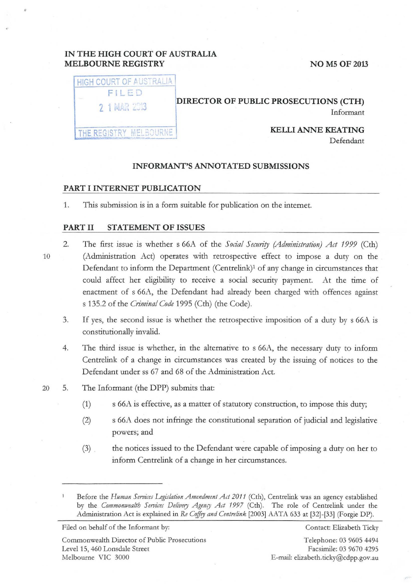# IN THE HIGH COURT OF AUSTRALIA MELBOURNE REGISTRY NO M5 OF 2013

| <b>I HIGH COURT OF AUSTRALIA</b> |  |
|----------------------------------|--|
| FILED                            |  |
| 2 1 MAR 2013                     |  |
|                                  |  |

THE REGISTRY MELBOURNE

### DIRECTOR OF PUBLIC PROSECUTIONS (CTH) Informant

KELLI ANNE KEATING Defendant

#### INFORMANT'S ANNOTATED SUBMISSIONS

#### PART I INTERNET PUBLICATION

1. This submission is in a form suitable for publication on the internet.

#### PART II STATEMENT OF ISSUES

- 10
- 2. The first issue is whether s 66A of the *Social Security (Administration) Act 1999* (Cth) (Administration Act) operates with retrospective effect to impose a duty on the Defendant to inform the Department (Centrelink)<sup>1</sup> of any change in circumstances that could affect her eligibility to receive a social security payment. At the time of enactment of s 66A, the Defendant had already been charged with offences against s 135.2 of the *Crimina/Code* 1995 (Cth) (the Code).
- 3. If yes, the second issue is whether the retrospective imposition of a duty by s 66A is constitutionally invalid.
- 4. The third issue is whether, in the alternative to s 66A, the necessary duty to inform Centrelink of a change in circumstances was created by the issuing of notices to the Defendant under ss 67 and 68 of the Administration Act.

#### 20 5. The Informant (the DPP) submits that:

- (1) s 66A is effective, as a matter of statutory construction, to impose this duty;
- (2) s 66A does not infringe the constitutional separation of judicial and legislative powers; and
- (3) the notices issued to the Defendant were capable of imposing a duty on her to inform Centrelink of a change in her circumstances.

Filed on behalf of the Informant by: Contact: Elizabeth Ticky

Commonwealth Director of Public Prosecutions Level 15, 460 Lonsdale Street Melbourne VIC 3000

Telephone: 03 9605 4494 Facsimile: 03 9670 4295 E-mail: elizabeth. ticky@cdpp.gov.au

Before the *Human Services Legislation Amendment Act 2011* (Cth), Centrelink was an agency established by the *Commonwealth Services Delivery Agency Act 1997* (Cth). The role of Centrelink under the Administration Act is explained in *Re Coffey and Centre/ink* [2003] AATA 633 at [32]-[33] (Forgie DP).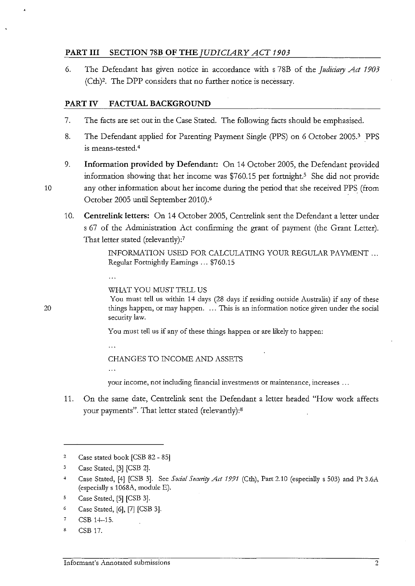# **PART III SECTION 78B OF THE** *JUDICIARY ACT 1903*

6. The Defendant has given notice in accordance with s 78B of the *Judiciary Act 1903* (Cth)2. The DPP considers that no further notice is necessary.

# **PART IV FACTUAL BACKGROUND**

- 7. The facts are set out in the Case Stated. The following facts should be emphasised.
- 8. The Defendant applied for Parenting Payment Single (PPS) on 6 October 2005.3 PPS is means-tested.4
- 9. **Information provided by Defendant:** On 14 October 2005, the Defendant provided information showing that her income was  $$760.15$  per fortnight.<sup>5</sup> She did not provide 10 any other information about her income during the period that she received PPS (from October 2005 until September 2010).6
	- 10. **Centrelink letters:** On 14 October 2005, Centrelink sent the Defendant a letter under s 67 of the Administration Act confirming the grant of payment (the Grant Letter). That letter stated (relevantly):7

INFORMATION USED FOR CALCULATING YOUR REGULAR PAYMENT ... Regular Fortnighdy Earnings ... \$760.15

#### WHAT YOU MUST TELL US

You must tell us within 14 days (28 days if residing outside Australia) if any of these things happen, or may happen. . .. This is an information notice given under the social security law.

You must tell us if any of these things happen or are likely to happen:

 $\mathbb{R}^2$ 

## CHANGES TO INCOME AND ASSETS

**your income, not including financial investments or maintenance, increases** ...

11. On the same date, Centrelink sent the Defendant a letter headed "How work affects your payments". That letter stated (relevantly):8

<sup>2</sup> Case stated book [CSB 82 - 85]

<sup>3</sup> Case Stated, [3] [CSB 2].

<sup>&</sup>lt;sup>4</sup> Case Stated, [4] [CSB 3]. See *Social Security Act 1991* (Cth), Part 2.10 (especially s 503) and Pt 3.6A (especially s 1068A, module E).

s Case Stated, [5] [CSB 3].

<sup>&</sup>lt;sup>6</sup> Case Stated, [6], [7] [CSB 3].

<sup>7</sup> CSB 14-15.

<sup>8</sup> CSB 17.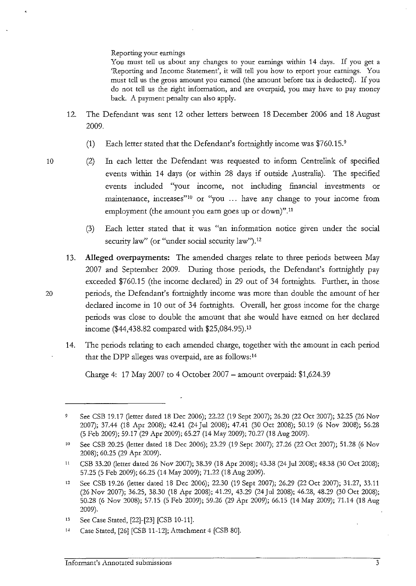Reporting your earnings

You must tell us about any changes to your earnings within 14 days. If you get a 'Reporting and Income Statement', it will tell you how to report your earnings. You must tell us the gross amount you earned (the amount before tax is deducted). If you do not tell us the right information, and are overpaid, you may have to pay money back. A payment penalty can also apply.

- 12. The Defendant was sent 12 other letters between 18 December 2006 and 18 August 2009.
	- (1) Each letter stated that the Defendant's fortnightly income was \$760.15.9
- 
- 10 (2) In each letter the Defendant was requested to inform Centrelink of specified events within 14 days (or within 28 days if outside Australia). The specified events included "your income, not including financial investments or maintenance, increases"<sup>10</sup> or "you ... have any change to your income from employment (the amount you earn goes up or down)".<sup>11</sup>
	- (3) Each letter stated that it was "an information notice given under the social security law" (or "under social security law").<sup>12</sup>
- 13. **Alleged overpayments:** The amended charges relate to three periods between May 2007 and September 2009. During those periods, the Defendant's fortnightly pay exceeded \$760.15 (the income declared) in 29 out of 34 fortnights. Further, in those 20 periods, the Defendant's fortnightly income was more than double the amount of her declared income in 10 out of 34 fortnights. Overall, her gross income for the charge periods was close to double the amount that she would have earned on her declared income (\$44,438.82 compared with \$25,084.95). <sup>13</sup>
	- 14. The periods relating to each amended charge, together with the amount in each period that the DPP alleges was overpaid, are as follows: <sup>14</sup>

Charge 4: 17 May 2007 to 4 October 2007- amount overpaid: \$1,624.39

<sup>9</sup> See CSB 19.17 (letter dated 18 Dec 2006); 22.22 (19 Sept 2007); 26.20 (22 Oct 2007); 32.25 (26 Nov 2007); 37.44 (18 Apr 2008); 42.41 (24 Jul 2008); 47.41 (30 Oct 2008); 50.19 (6 Nov 2008); 56.28 (5 Feb 2009); 59.17 (29 Apr 2009); 65.27 (14 May 2009); 70.27 (18 Aug 2009).

<sup>&</sup>lt;sup>10</sup> See CSB 20.25 (letter dated 18 Dec 2006); 23.29 (19 Sept 2007); 27.26 (22 Oct 2007); 51.28 (6 Nov 2008); 60.25 (29 Apr 2009).

<sup>&</sup>quot; CSB 33.20 (letter dated 26 Nov 2007); 38.39 (18 Apr 2008); 43.38 (24 Jul 2008); 48.38 (30 Oct 2008); 57.25 (5 Feb 2009); 66.25 (14 May 2009); 71.22 (18 Aug 2009).

<sup>12</sup> See CSB 19.26 (letter dated 18 Dec 2006); 22.30 (19 Sept 2007); 26.29 (22 Oct 2007); 31.27, 33.11 (26 Nov 2007); 36.25, 38.30 (18 Apr 2008); 41.29, 43.29 (24 Jul 2008); 46.28, 48.29 (30 Oct 2008); 50.28 (6 Nov 2008); 57.15 (5 Feb 2009); 59.26 (29 Apr 2009); 66.15 (14 May 2009); 71.14 (18 Aug 2009).

<sup>13</sup> See Case Stated, [22]-[23] [CSB 10-11].

<sup>&#</sup>x27;" Case Stated, [26] [CSB 11-12]; Attachment 4 [CSB 80].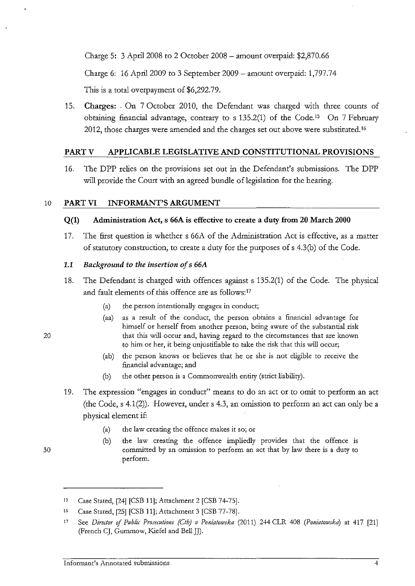Charge 5: 3 April 2008 to 2 October 2008 - amount overpaid:  $$2,870.66$ 

Charge 6: 16 April2009 to 3 September 2009- amount overpaid: 1,797.74

This is a total overpayment of \$6,292.79.

15. Charges: . On 7 October 2010, the Defendant was charged with three counts of obtaining financial advantage, contrary to s 135.2(1) of the Code.15 On 7 February 2012, those charges were amended and the charges set out above were substituted.16

## PARTV APPLICABLE LEGISLATIVE AND CONSTITUTIONAL PROVISIONS

16. The DPP relies on the provisions set out in the Defendant's submissions. The DPP will provide the Court with an agreed bundle of legislation for the hearing.

# 10 PART VI INFORMANT'S ARGUMENT

## Q(l) Administration Act, s 66A is effective to create a duty from 20 March 2000

17. The first question is whether s 66A of the Administration Act is effective, as a matter of statutory construction, to create a duty for the purposes of s 4.3(b) of the Code.

## 1.1 *Background to the insertion of* s *66A*

- 18. The Defendant is charged with offences against s 135.2(1) of the Code. The physical and fault elements of this offence are as follows:<sup>17</sup>
	- (a) the person intentionally engages in conduct;
	- (aa) as a result of the conduct, the person obtains a financial advantage for himself or herself from another person, being aware of the substantial risk that this will occur and, having regard to the circumstances that are known to him or her, it being unjustifiable to take the risk that this will occur;
	- (ab) the person knows or believes that he or she is not eligible to receive the financial advantage; and
	- (b) the other person is a Commonwealth entity (strict liability).
- 19. The expression "engages in conduct" means to do an act or to omit to perform an act (the Code, s 4.1 (2)). However, under s 4.3, an omission to perform an act can only be a physical element if:
	- (a) the law creating the offence makes it so; or
	- (b) the law creating the offence impliedly provides that the offence is committed by an omission to perform an act that by law there is a duty to perform.

20

<sup>15</sup>  Case Stated, [24] [CSB 11]; Attachment 2 [CSB 74-75].

<sup>!6</sup>  Case Stated, [25] [CSB 11J;Attachment 3 [CSB 77-78].

<sup>17</sup>  See *Director of Public Prosecutions (Ctb) v Poniatowska* (2011) 244 CLR 408 (Poniatowska) at 417 [21] (French CJ, Gummow, Kiefel and Bell JJ).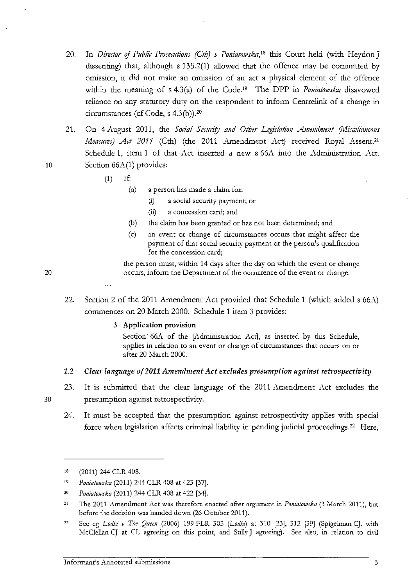- 20. In *Director of Public Prosecutions (Cth) v Poniatowska*,<sup>18</sup> this Court held (with Heydon J dissenting) that, although s 135.2(1) allowed that the offence may be committed by omission, it did not make an omission of an act a physical element of the offence within the meaning of s 4.3(a) of the Code.<sup>19</sup> The DPP in *Poniatowska* disavowed reliance on any statutory duty on the respondent to inform Centrelink of a change in circumstances (cf Code, s 4.3(b)).20
- 21. On 4 August 2011, the *Social Security and Other Legislation Amendment (Miscellaneous Measures) Act 2011* (Cth) (the 2011 Amendment Act) received Royal Assent.<sup>21</sup> Schedule 1, item 1 of that Act inserted a new s 66A into the Administration Act. 10 Section 66A(1) provides:
	- (1) If:
		- (a) a person has made a claim for:
			- $(i)$  a social security payment; or
			- (ii) a concession card; and
		- (b) the claim has been granted or has not been determined; and
		- (c) an event or change of circumstances occurs that might affect the payment of that social security payment or the person's qualification **for the concession card;**

the person must, within 14 days after the day on which the event or change 20 occurs, inform the Department of the occurrence of the event or change.

22. Section 2 of the 2011 Amendment Act provided that Schedule 1 (which added s 66A) commences on 20 March 2000. Schedule 1 item 3 provides:

#### 3 Application provision

Section<sup>o</sup> 66A of the [Administration Act], as inserted by this Schedule, **applies in relation to an event or change of circumstances that occurs on or**  after 20 March 2000.

#### 1.2 *Clear language of2011 Amendment Act excludes presumption against retrospectivity*

- 23. It is submitted that the clear language of the 2011 Amendment Act excludes the presumption against retrospectivity.
- 24. It must be accepted that the presumption against retrospectivity applies with special force when legislation affects criminal liability in pending judicial proceedings.<sup>22</sup> Here,

<sup>!8</sup>  (2011) 244 CLR 408.

 $\bar{1}9$ *PoniatowJka* (2011) 244 CLR 408 at 423 [37].

<sup>2()</sup>  *Pouiatowska* (2011) 244 CLR 408 at 422 [34].

<sup>21</sup>  The 2011 Amendment Act was therefore enacted after argument in *Poniatowska* (3 March 2011), but before the decision was handed down (26 October 2011).

<sup>22</sup>  See eg *Lodhi v The Queen* (2006) 199 FLR 303 *(Lodhz)* at 310 [23], 312 [39] (Spigelman CJ, wiili McClellan CJ at CL agreeing on this point, and Sully J agreeing). See also, in relation to civil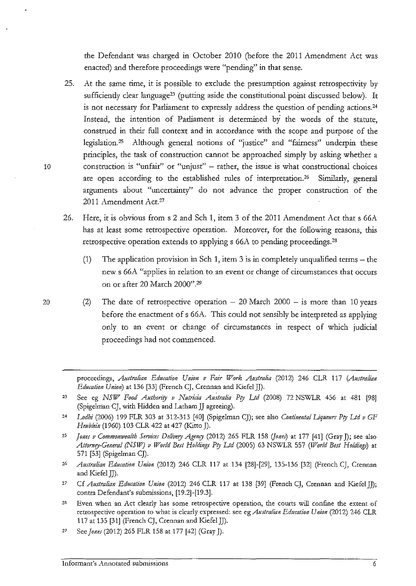the Defendant was charged in October 2010 (before the 2011 Amendment Act was enacted) and therefore proceedings were "pending" in that sense.

- 25. At the same time, it is possible to exclude the presumption against retrospectivity by sufficiently clear language<sup>23</sup> (putting aside the constitutional point discussed below). It is not necessary for Parliament to expressly address the question of pending actions. 24 Instead, the intention of Parliament is determined by the words of the statute, construed in their full context and in accordance with the scope and purpose of the legislation. 25 Although general notions of "justice" and "fairness" underpin these principles, the task of construction cannot be approached simply by asking whether a 10 construction is "unfair" or "unjust" - rather, the issue is what constructional choices are open according to the established rules of interpretation.<sup>26</sup> Similarly, general arguments about "uncertainty" do not advance the proper construction of the 2011 Amendment Act.2'
	- 26. Here, it is obvious from s 2 and Sch 1, item 3 of the 2011 Amendment Act that s 66A has at least some retrospective operation. Moreover, for the following reasons, this retrospective operation extends to applying s 66A to pending proceedings.28
		- (1) The application provision in Sch 1, item 3 is in completely unqualified terms the new s 66A "applies in relation to an event or change of circumstances that occurs on or after 20 March 2000".29
- 20 (2) The date of retrospective operation  $-20$  March 2000  $-$  is more than 10 years before the enactment of s 66A. This could not sensibly be interpreted as applying only to an event or change of circumstances in respect of which judicial proceedings had not commenced.

proceedings, *Australian Education Union v Fair Work Australia* (2012) 246 CLR 117 (Australian *Edumtion Union)* at 136 [33] (French CJ, Crennan and KiefelJJ).

- ${\bf 23}$ See eg *NSW Food Authority v Nutricia Australia Pty Ltd* (2008) 72 NSWLR 456 at 481 [98] (Spigelnian CJ, with Hidden and Latham JJ agreeing).
- 24 Lodhi (2006) 199 FLR 303 at 312-313 [40] (Spigelman CJ); see also *Continental Liqueurs Pty Ltd v GF* Heublein (1960) 103 CLR 422 at 427 (Kitto J).
- 25 *Jones v Commonwealth Services Delivery Agency* (2012) 265 FLR 158 *(Jones*) at 177 [41] (Gray J); see also Attorney-General (NSW) v World Best Holdings Pty Ltd (2005) 63 NSWLR 557 *(World Best Holdings)* at 571 [53] (Spigelman CJ).
- 26 *AUJtralian Education Union* (2012) 246 CLR 117 at 134 [28]-[29], 135-136 [32] (French CJ, Crennan and Kiefel JJ).
- 27 Cf *Australian Edumtion Union* (2012) 246 CLR 117 at 138 [39] (French CJ, Crennan and Kiefel JJ); contra Defendant's submissions, [19.2]-[19.3].
- 28 **Even when an Act clearly has some retrospective operation, the courts will confine the extent of**  retrospective operation to what is clearly expressed: see *egAustralian Edutation Union* (2012) 246 CLR 117 at 135 [31] (French CJ, Crennan and Kiefel JJ).
- 29 See *Jones* (2012) 265 FLR 158 at 177 [42] (Gray J).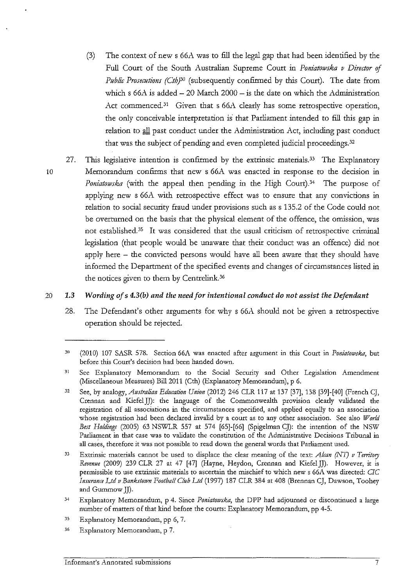- (3) The context of new s  $66A$  was to fill the legal gap that had been identified by the Full Court of the South Australian Supreme Court in *Poniatowska v Director of Public Prosecutions (Cth)<sup>30</sup>* (subsequently confirmed by this Court). The date from which s  $66A$  is added  $-20$  March  $2000 -$  is the date on which the Administration Act commenced.<sup>31</sup> Given that s 66A clearly has some retrospective operation, the only conceivable interpretation is that Parliament intended to fill this gap in relation to all past conduct under the Administration Act, including past conduct that was the subject of pending and even completed judicial proceedings. 32
- 27. This legislative intention is confirmed by the extrinsic materials.<sup>33</sup> The Explanatory 10 Memorandum confirms that new s 66A was enacted in response to the decision in *Poniatowska* (with the appeal then pending in the High Court).<sup>34</sup> The purpose of applying new s 66A with retrospective effect was to ensure that any convictions in relation to social security fraud under provisions such as s 135.2 of the Code could not be overturned on the basis that the physical element of the offence, the omission, was not established. 35 It was considered that the usual criticism of retrospective criminal legislation (that people would be unaware that their conduct was an offence) did not apply here - the convicted persons would have all been aware that they should have informed the Department of the specified events and changes of circumstances listed in the notices given to them by Centrelink.<sup>36</sup>

#### 20 *1.3 Wording of* s *4.3(b) and the need for intentional conduct do not assist the Defendant*

28. The Defendant's other arguments for why s 66A should not be given a retrospective operation should be rejected.

- 35 Explanatory Memorandum, pp 6, 7.
- 36 Explanatory Memorandum, p 7.

<sup>30</sup>  (2010) 107 SASR 578. Section 66A was enacted after argument in this Court in *Poniatowska,* but before this Court's decision had been handed down.

<sup>31</sup>  See Explanatory Memorandum to the Social Security and Other Legislation Amendment (Miscellaneous Measures) Bill 2011 (Cth) (Explanatory Memorandum), p 6.

<sup>32</sup>  See, by analogy, *Australian Edumtiou Union* (2012) 246 CLR 117 at 137 [37], 138 [39]-[40] (French CJ, Crennan and Kiefe!JJ): the language of the Commonwealth provision clearly validated the registration of all associations in the circumstances specified, and applied equally to an association whose registration had been declared invalid by a court as to any other association. See also *World Best Holdings* (2005) 63 NSWLR 557 at 574 [65]-[66] (Spigelman CJ): the intention of the NSW Parliament in that case was to validate the constitution of the Administrative Decisions Tribunal in all cases, therefore it was not possible to read down the general words that Parliament used.

<sup>33</sup>  Extrinsic materials cannot be used to displace the clear meaning of the text: *Akan (NT) v Territory Revenue* (2009) 239 CLR 27 at 47 [47] (Hayne, Heydon, Crennan and Kiefe!JJ). However, it is permissible to use extrinsic materials to ascertain the mischief to which new s 66A was directed: *CIC Imuranl'e Ltd v Bankstown Football Club Ltd* (1997) 187 CLR 384 at 408 (Brennan CJ, Dawson, Toohey and Gummow JJ).

 $34$ Explanatory Memorandum, p 4. Since *Poniatowska*, the DPP had adjourned or discontinued a large number of matters of that kind before the courts: Explanatory Memorandum, pp 4-5.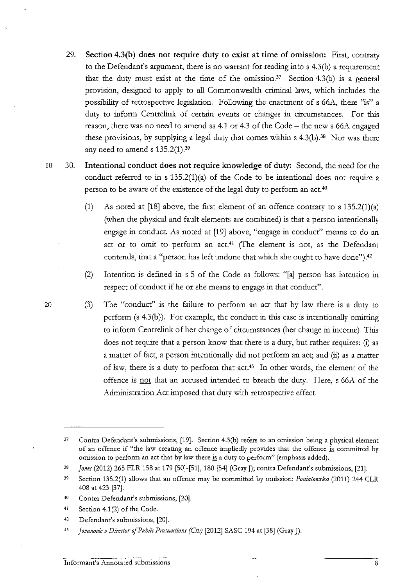- 29. **Section 4.3(b) does not require duty to exist at time of omission:** First, contrary to the Defendant's argument, there is no warrant for reading into s 4.3(b) a requirement that the duty must exist at the time of the omission.<sup>37</sup> Section 4.3(b) is a general provision, designed to apply to all Commonwealth criminal laws, which includes the possibility of retrospective legislation. Following the enactment of s 66A, there "is" a duty to inform Centrelink of certain events or changes in circumstances. For this reason, there was no need to amend ss 4.1 or 4.3 of the Code- the new s 66A engaged these provisions, by supplying a legal duty that comes within  $s$  4.3(b).<sup>38</sup> Nor was there any need to amend  $s$  135.2(1).<sup>39</sup>
- 10 30. **Intentional conduct does not require knowledge of duty:** Second, the need for the conduct referred to in  $s 135.2(1)(a)$  of the Code to be intentional does not require a person to be aware of the existence of the legal duty to perform an act.40
	- (1) As noted at [18] above, the first element of an offence contrary to s 135.2(1)(a) (when the physical and fault elements are combined) is that a person intentionally engage in conduct. As noted at [19] above, "engage in conduct" means to do an act or to omit to perform an act.<sup>41</sup> (The element is not, as the Defendant contends, that a "person has left undone that which she ought to have done").<sup>42</sup>
	- (2) Intention is defined in s 5 of the Code as follows: "[a] person has intention in respect of conduct if he or she means to engage in that conduct".
- 20 (3) The "conduct" is the failure to perform an act that by law there is a duty to perform (s 4.3(b)). For example, the conduct in this case is intentionally omitting to inform Centrelink of her change of circumstances (her change in income). This does not require that a person know that there is a duty, but rather requires: (i) as a matter of fact, a person intentionally did not perform an act; and (ii) as a matter of law, there is a duty to perform that act.43 In other words, the element of the offence is not that an accused intended to breach the duty. Here, s 66A of the Administration Act imposed that duty with retrospective effect.

 $42$ Defendant's submissions, [20].

<sup>37</sup>  Contra Defendant's submissions, [19]. Section 4.3(b) refers to an omission being a physical element of an offence if "the law creating an offence impliedly provides that the offence is committed by omission to perform an act that by law there is a duty to perform" (emphasis added).

<sup>38</sup> *Jones* (2012) 265 FLR 158 at 179 [50]-[51], 180 [54] (Gray J); contra Defendant's submissions, [21].

**<sup>39</sup>**  Section 135.2(1) allows that an offence may be committed by omission: *Poniatowska* (2011) 244 CLR 408 at 423 [37].

<sup>~)</sup>  Contra Defendant's submissions, [20].

<sup>41</sup>  Section 4.1(2) of the Code.

 $43$ *Jovanovic v Director of Public Prosecutions (Cth)* [2012] SASC 194 at [38] (Gray J).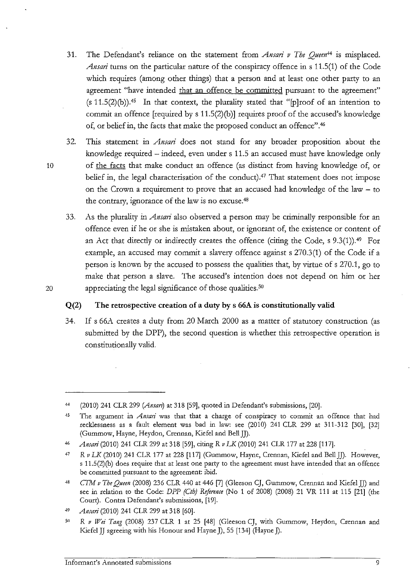- 31. The Defendant's reliance on the statement from *Ansari v The Queen*<sup>44</sup> is misplaced. *Ansari* turns on the particular nature of the conspiracy offence in s 11.5(1) of the Code which requires (among other things) that a person and at least one other party to an agreement "have intended that an offence be committed pursuant to the agreement"  $(s 11.5(2)(b))$ .<sup>45</sup> In that context, the plurality stated that "[p]roof of an intention to commit an offence [required by s 11.5(2)(b)] requires proof of the accused's knowledge of, or belief in, the facts that make the proposed conduct an offence".46
- 32. This statement in *Ansari* does not stand for any broader proposition about the knowledge required - indeed, even under s 11.5 an accused must have knowledge only 10 of the facts that make conduct an offence (as distinct from having knowledge of, or belief in, the legal characterisation of the conduct).<sup>47</sup> That statement does not impose on the Crown a requirement to prove that an accused had knowledge of the law - to the contrary, ignorance of the law is no excuse.48
- 33. As the plurality in *Attsari* also observed a person may be criminally responsible for an offence even if he or she is mistaken about, or ignorant of, the existence or content of an Act that directly or indirectly creates the offence (citing the Code, s  $9.3(1)$ ).<sup>49</sup> For example, an accused may commit a slavery offence against s 270.3(1) of the Code if a person is known by the accused to possess the qualities that, by virtue of s 270.1, go to make that person a slave. The accused's intention does not depend on him or her 20 appreciating the legal significance of those qualities.<sup>50</sup>

# **Q(2) The retrospective creation of a duty by s 66A is constitutionally valid**

34. If s 66A creates a duty from 20 March 2000 as a matter of statutory construction (as submitted by the DPP), the second question is whether this retrospective operation is constitutionally valid.

<sup>44</sup>  (2010) 241 CLR 299 *(Ansan)* at 318 [59], quoted in Defendant's submissions, [20].

<sup>45</sup>  The argument in *Ansari* was that that a charge of conspiracy to commit an offence that had recklessness as a fault element was bad in law: see (2010) 241 CLR 299 at 311-312 [30], [32] (Gummow, Hayne, Heydon, Crennan, Kiefel and Bell JJ).

<sup>46</sup>  *Ansari* (2010) 241 CLR 299 at 318 [59], citing *R v LK* (2010) 241 CLR 177 at 228 [117].

<sup>47</sup>  *R v LK* (2010) 241 CLR 177 at 228 [117] (Gummow, Hayne, Crennan, Kiefel and Bell JJ). However, s 11.5(2)(b) does require that at least one party to the agreement must have intended that an offence be committed pursuant to the agreement: ibid.

<sup>48</sup>  *CTM v The Queen* (2008) 236 CLR 440 at 446 [7] (Gleeson CJ, Gummow, Crennan and Kiefel JJ) and see in relation to the Code: *DPP (Cth) Reference* (No 1 of 2008) (2008) 21 VR 111 at 115 [21] (the Court). Contra Defendant's submissions, [19].

<sup>49</sup>  *Ansari* (2010) 241 CLR 299 at 318 [60].

 $50$ R v Wei Tang (2008) 237 CLR 1 at 25 [48] (Gleeson CJ, with Gummow, Heydon, Crennan and Kiefel JJ agreeing with his Honour and Hayne **J),** 55 [134] (Hayne J).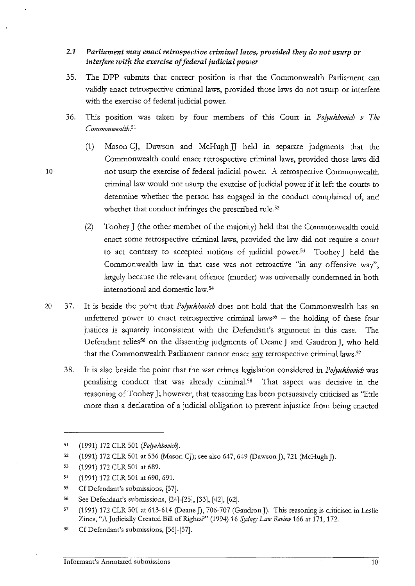# 2.1 *Parliament may enact retrospective criminal laws, provided they do not usurp or interfere with the exercise of federal judicial power*

- 35. The DPP submits that correct position is that the Commonwealth Parliament can validly enact retrospective criminal laws, provided those laws do not usurp or interfere with the exercise of federal judicial power.
- 36. This position was taken by four members of this Court in *Polyukhovich* v The *Commomvealth.51* 
	- (1) Mason CJ, Dawson and McHughJJ held in separate judgments that the Commonwealth could enact retrospective criminal laws, provided those laws did not usurp the exercise of federal judicial power. A retrospective Commonwealth criminal law would not usurp the exercise of judicial power if it left the courts to determine whether the person has engaged in the conduct complained of, and whether that conduct infringes the prescribed rule.<sup>52</sup>
	- (2) Toohey J (the other member of the majority) held that the Commonwealth could enact some retrospective criminal laws, provided the law did not require a court to act contrary to accepted notions of judicial power.<sup>53</sup> Toohey J held the Commonwealth law in that case was not retroactive "in any offensive way", largely because the relevant offence (murder) was universally condemned in both international and domestic law.<sup>54</sup>
- 20 37. It is beside the point that *Polyukhovith* does not hold that the Commonwealth has an unfettered power to enact retrospective criminal laws<sup>55</sup>  $-$  the holding of these four justices is squarely inconsistent with the Defendant's argument in this case. The Defendant relies<sup>56</sup> on the dissenting judgments of Deane J and Gaudron J, who held that the Commonwealth Parliament cannot enact any retrospective criminal laws.<sup>57</sup>
	- 38. It is also beside the point that the war crimes legislation considered in *Polyukhovid;* was penalising conduct that was already criminal. 58 That aspect was decisive in the reasoning of Toohey J; however, that reasoning has been persuasively criticised as "little more than a declaration of a judicial obligation to prevent injustice from being enacted

10

58 Cf Defendant's submissions, [56]-[57].

<sup>51</sup>  (1991) 172 CLR 501 *(Polyukhovith).* 

*<sup>51</sup>*  (1991) 172 CLR 501 at 536 (Mason CJ); see also 647, 649 (Dawson J), 721 (McHugh J).

<sup>53</sup>  (1991) 172 CLR 501 at 689.

<sup>5&</sup>lt; (1991) 172 CLR 501 at 690,691.

<sup>55</sup>  CfDefendant's submissions, [57].

<sup>56</sup>  See Defendant's submissions, [24]-[25], [33], [42], [62].

<sup>57</sup>  (1991) 172 CLR 501 at 613-614 (Deane J), 706-707 (Gaudron J). This reasoning is criticised in Leslie Zines, "A Judicially Created Bill of Rights?" (1994) 16 Sydney Law Review 166 at 171, 172.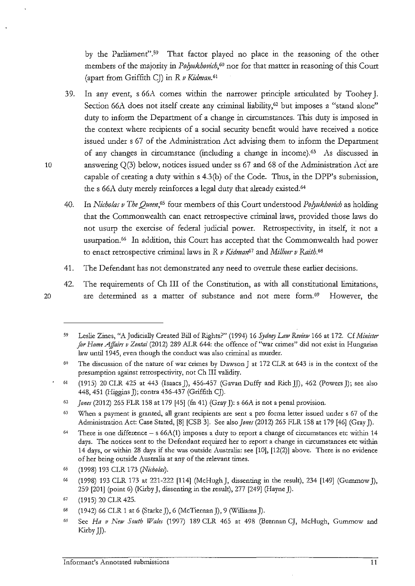by the Parliament".<sup>59</sup> That factor played no place in the reasoning of the other members of the majority in *Polyukhovich*,<sup>60</sup> nor for that matter in reasoning of this Court (apart from Griffith CJ) in *R v Kidman.* <sup>61</sup>

- 39. In any event, s 66A comes within the narrower principle articulated by Toohey J. Section 66A does not itself create any criminal liability,<sup>62</sup> but imposes a "stand alone" duty to inform the Department of a change in circumstances. This duty is imposed in the context where recipients of a social security benefit would have received a notice issued under s 67 of the Administration Act advising them to inform the Department of any changes in circumstance (including a change in income).63 As discussed in 10 answering Q(3) below, notices issued under ss 67 and 68 of the Administration Act are capable of creatiog a duty within s 4.3(b) of the Code. Thus, in the DPP's submission, the s 66A duty merely reinforces a legal duty that already existed.<sup>64</sup>
	- 40. In *Nicholas v The Queen*,<sup>65</sup> four members of this Court understood *Polyukhovich* as holding that the Commonwealth can enact retrospective criminal laws, provided those laws do not usurp the exercise of federal judicial power. Retrospectivity, in itself, it not a usurpation. 66 In addition, this Court has accepted that the Commonwealth had power to enact retrospective criminal laws in *R* v *Kidmmz67* and *Millner* v *Raith.* 68
	- 41. The Defendant has not demonstrated any need to overrule these earlier decisions.
- 42. The requirements of Ch III of the Constitution, as with all constitutional limitations, 20 are determined as a matter of substance and not mere form. *69* However, the

<sup>59</sup>  Leslie Zines, "A Judicially Created Bill of Rights?" (1994) 16 *Sydney Law Review* 166 at 172. Cf *Minister for Home Affairs v Zentai* (2012) 289 ALR 644: the offence of "war crimes" did not exist in Hungarian law until 1945, even though the conduct was also criminal as murder.

 $50$ The discussion of the nature of war crimes by Dawson J at 172 CLR at 643 is in the context of the presumption against retrospectivity, not Ch III validity.

<sup>61</sup>  (1915) 20 CLR 425 at 443 (Isaacs]), 456-457 (Gavan Duffy and RichJJ), 462 (Powers]); see also 448,451 (Higgins J); contra 436-437 (Griffith CJ).

<sup>62</sup>  *Jones* (2012) 265 FLR 158 at 179 [45] (fn 41) (Gray J): s 66A is not a penal provision.

<sup>63</sup> When a payment is granted, all grant recipients are sent a pro forma letter issued under s 67 of the Administration Act: Case Stated, [8] [CSB 3]. See also *Jones* (2012) 265 FLR 158 at 179 [46] (Gray J).

<sup>64</sup> There is one difference  $-$  s 66A(1) imposes a duty to report a change of circumstances etc within 14 days. The notices sent to the Defendant required her to report a change in circumstances etc within 14 days, or within 28 days if she was outside Australia: see [10], [12(2)] above. There is no evidence of her being outside Australia at any of the relevant times.

*<sup>65</sup>*  (1998) 193 CLR 173 *(Nti·ho!m).* 

<sup>66</sup>  (1998) 193 CLR 173 at 221-222 [114] (McHugh], dissenting in the result), 234 [149] (GummowJ), 259 [201] (point 6) (Kirby J, dissenting in the result), 277 [249] (Hayne J).

<sup>67</sup>  (1915) 20 CLR 425.

<sup>68</sup>  (1942) 66 CLR 1 at 6 (Starke J), 6 (McTiernan J), 9 (Williams J).

<sup>69</sup>  See *Ha v New South Wales* (1997) 189 CLR 465 at 498 (Brennan CJ, McHugh, Gummow and Kirby JJ).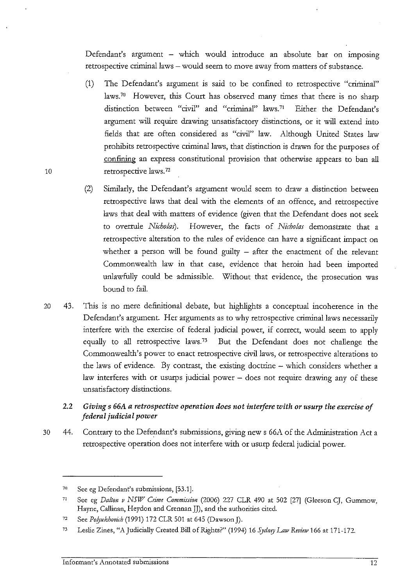Defendant's argument - which would introduce an absolute bar on imposing retrospective criminal laws – would seem to move away from matters of substance.

- (1) The Defendant's argument is said to be confined to retrospective "criminal" laws.<sup>70</sup> However, this Court has observed many times that there is no sharp distinction between "civil" and "criminal" laws.71 Either the Defendant's argument will require drawing unsatisfactory distinctions, or it will extend into fields that are often considered as "civil" law. Although United States law prohibits retrospective criminal laws, that distinction is drawn for the purposes of confining an express constitutional provision that otherwise appears to ban all 10 retrospective laws.<sup>72</sup>
	- (2) Sintilarly, the Defendant's argument would seem to draw a distinction between retrospective laws that deal with the elements of an offence, and retrospective laws that deal with matters of evidence (given that the Defendant does not seek to overrule *Nicholas).* However, the facts of *Nicholas* demonstrate that a retrospective alteration to the rules of evidence can have a significant impact on whether a person will be found guilty  $-$  after the enactment of the relevant Commonwealth law in that case, evidence that heroin had been imported unlawfully could be admissible. Without that evidence, the prosecution was bound to fail.
- 20 43. This is no mere definitional debate, but highlights a conceptual incoherence in the Defendant's argument. Her arguments as to why retrospective criminal laws necessarily interfere with the exercise of federal judicial power, if correct, would seem to apply equally to all retrospective laws.73 But the Defendant does not challenge the Commonwealth's power to enact retrospective civil laws, or retrospective alterations to the laws of evidence. By contrast, the existing doctrine - which considers whether a law interferes with or usurps judicial power - does not require drawing any of these unsatisfactory distinctions.
	- 2.2 *Giving* s *66A a retrospective operation does not interfere with or usurp the exercise of federal judicial power*
- 30 44. Contrary to the Defendant's submissions, giving new s 66A of the Administration Act a retrospective operation does not interfere with or usurp federal judicial power.

<sup>70</sup> See eg Defendant's submissions, [53.1].

<sup>71</sup> See eg *Dalton v NSll7 Cnmc Commission* (2006) 227 CLR 490 at 502 [27] (Gleeson CJ, Gummow, Hayne, Callinan, Heydon and Crennan JJ), and the authorities cited.

<sup>72</sup> See *Polyukhovich* (1991) 172 CLR 501 at 645 (Dawson J).

<sup>73</sup> Leslie Zines, "A Judicially Created Bill of Rights?" (1994) 16 *Sydney Law Review* 166 at 171-172.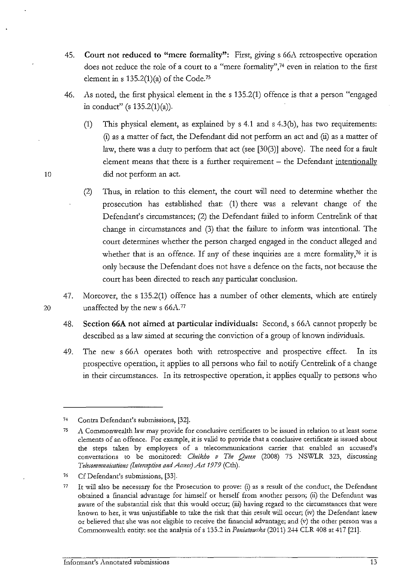- 45. **Court not reduced to "mere formality":** First, giving s 66A retrospective operation does not reduce the role of a court to a "mere formality", 74 even in relation to the first element in s  $135.2(1)(a)$  of the Code.<sup>75</sup>
- 46. As noted, the first physical element in the s 135.2(1) offence is that a person "engaged in conduct" (s  $135.2(1)(a)$ ).
- (1) This physical element, as explained by s 4.1 and s 4.3(b), has two requirements: **(i)** as a matter of fact, the Defendant did not perform an act and (ii) as a matter of law, there was a duty to perform that act (see [30(3)] above). The need for a fault element means that there is a further requirement - the Defendant intentionally 10 did not perform an act.
	- (2) Thus, in relation to this element, the court will need to determine whether the prosecution has established that: **(1)** there was a relevant change of the Defendant's circumstances; (2) the Defendant failed to inform Centrelink of that change in circumstances and (3) that the failure to inform was intentional. The court determines whether the person charged engaged in the conduct alleged and whether that is an offence. If any of these inquiries are a mere formality,<sup>76</sup> it is only because the Defendant does not have a defence on the facts, not because the court has been directed to reach any particular conclusion.
- 47. Moreover, the s 135.2(1) offence has a number of other elements, which are entirely 20 unaffected by the new s 66A.<sup>77</sup>
	- 48. **Section 66A not aimed at particular individuals:** Second, s 66A cannot properly be described as a law aimed at securing the conviction of a group of known individuals.
	- 49. The new s 66A operates both with retrospective and prospective effect. In its prospective operation, it applies to all persons who fail to notify Centrelink of a change in their circumstances. In its retrospective operation, it applies equally to persons who

<sup>74</sup>  Contra Defendant's submissions, [32].

 $75$ **A Commonwealth law may provide for conclusive certificates to be issued in relation to at least some elements of an offence. For example, it is valid to provide that a conclusive certificate is issued about the steps taken by employees of a telecommunications carrier that enabled an accused's**  conversations to be monitored: *Cheikho v The Queen* (2008) 75 NSWLR 323, discussing *Telecommunications (Interception and Access) Act 1979 (Cth).* 

<sup>76</sup>  Cf Defendant's submissions, [33].

<sup>77</sup>  It will also be necessary for the Prosecution to prove: (i) as a result of the conduct, the Defendant obtained a financial advantage for himself or herself from another person; (ii) the Defendant was aware of the substantial risk that this would occur; (iii) having regard to the circumstances that were known to her, it was unjustifiable to take the risk that this result will occur; (iv) the Defendant knew or believed that she was not eligible to receive the financial advantage; and (v) the other person was a Commonwealth entity: see the analysis of s 135.2 in *Poniatowska* (2011) 244 CLR 408 at 417 [21].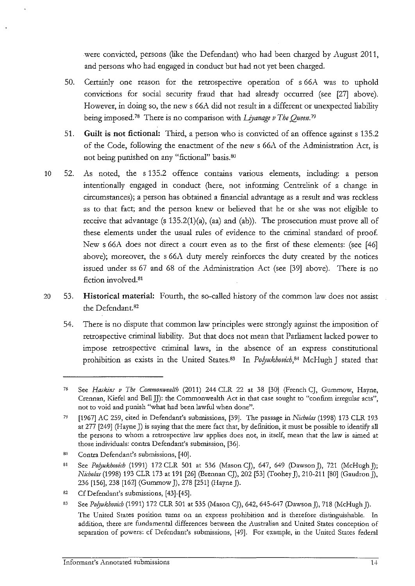were convicted, persons (like the Defendant) who had been charged by August 2011, and persons who had engaged in conduct but had not yet been charged.

- 50. Certainly one reason for the retrospective operation of s 66A was to uphold convictions for social security fraud that had already occurred (see [27] above). However, in doing so, the new s 66A did not result in a different or unexpected liability being imposed.<sup>78</sup> There is no comparison with *Liyanage v The Queen*.<sup>79</sup>
- 51. Guilt is not fictional: Third, a person who is convicted of an offence against s 135.2 of the Code, following the enactment of the new s 66A of the Administration Act, is not being punished on any "fictional" basis. so
- 10 52. As noted, the s 135.2 offence contains various elements, including: a person intentionally engaged in conduct (here, not informing Centrelink of a change in circumstances); a person has obtained a financial advantage as a result and was reckless as to that fact; and the person knew or believed that he or she was not eligible to receive that advantage (s  $135.2(1)(a)$ , (aa) and (ab)). The prosecution must prove all of these elements under the usual rules of evidence to the criminal standard of proof. New s 66A does not direct a court even as to the first of these elements: (see [46] above); moreover, the s 66A duty merely reinforces the duty created by the notices issued under ss 67 and 68 of the Administration Act (see [39] above). There is no fiction involved.<sup>81</sup>
- 20 53. Historical material: Fourth, the so-called history of the common law does not assist the Defendant.82
	- 54. There is no dispute that common law principles were strongly against the imposition of retrospective criminal liability. But that does not mean that Parliament lacked power to impose retrospective criminal laws, in the absence of an express constitutional prohibition as exists in the United States.<sup>83</sup> In *Polyukhovich*,<sup>84</sup> McHugh J stated that

<sup>78</sup>  See *Haskins v The Commonwealth* (2011) 244 CLR 22 at 38 [30] (French CJ, Gummow, Hayne, Crennan, Kiefel and Bell JJ): the Commonwealth Act in that case sought to "confirm irregular acts", **not to void and punish "what had been la\vful when done".** 

<sup>79</sup>  [1967] AC 259, cited in Defendant's submissions, [39]. The passage in *Nicholas* (1998) 173 CLR 193 at 277 [249] (Hayne J) is saying that the mere fact that, by definition, it must be possible to identify all **the persons to whom a retrospective law applies does not, in itself, mean that the law is aimed at**  those individuals: contra Defendant's submission, [36].

<sup>81</sup>l Contra Defendant's submissions, [40].

<sup>81</sup>  See *Polyukhovich* (1991) 172 CLR 501 at 536 (Mason CJ), 647, 649 (Dawson J), 721 (McHugh J); *Nitholas* (1998) 193 CLR 173 at 191 [26] (Brennan CJ), 202 [53] (Toohey J), 210-211 [80] (Gaudron J), 236 [156], 238 [162] (Gummow *]),* 278 [251] (Hayne)).

<sup>82</sup>  Cf Defendant's submissions, [43]-[45].

<sup>83</sup>  See *Polyukhovich* (1991) 172 CLR 501 at 535 (Mason CJ), 642, 645-647 (Dawson J), 718 (McHugh J).

The United States position turns on an express prohibition and is therefore distinguishable. In addition, there are fundamental differences between the Australian and United States conception of separation of powers: cf Defendant's submissions, [+9]. For example, in the United States federal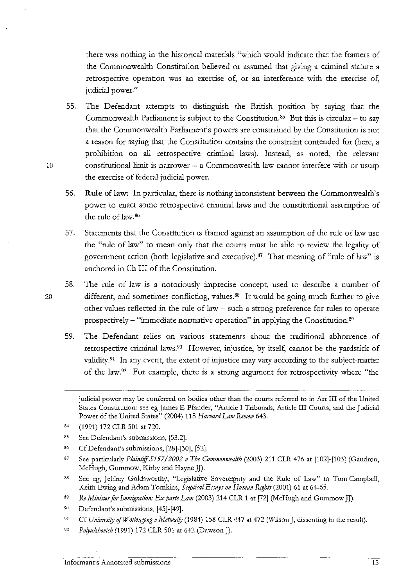there was nothing in the historical materials "which would indicate that the framers of the Commonwealth Constitution believed or assumed that giving a criminal statute a retrospective operation was an exercise of, or an interference with the exercise of, judicial power."

- 55. The Defendant attempts to distinguish the British position by saymg that the Commonwealth Parliament is subject to the Constitution.<sup>85</sup> But this is circular – to say that the Commonwealth Parliament's powers are constrained by the Constitution is not a reason for saying that the Constitution contains the constraint contended for (here, a prohibition on all retrospective criminal laws). Instead, as noted, the relevant 10 constitutional limit is narrower - a Commonwealth law cannot interfere with or usurp the exercise of federal judicial power.
	- 56. **Rule of law:** In particular, there is nothing inconsistent between the Commonwealth's power to enact some retrospective criminal laws and the constitutional assumption of the rule of law.<sup>86</sup>
	- 57. Statements that the Constitution is framed against an assumption of the rule of law use the "rule of law" to mean only that the courts must be able to review the legality of government action (both legislative and executive). $87$  That meaning of "rule of law" is anchored in Ch III of the Constitution.
- 58. The rule of law is a notoriously imprecise concept, used to describe a number of 20 different, and sometimes conflicting, values.88 It would be going much further to give other values reflected in the rule of law - such a strong preference for rules to operate prospectively- "immediate normative operation" in applying the Constitution.89
	- 59. The Defendant relies on various statements about the traditional abhorrence of retrospective criminal laws.90 However, injustice, by itself, cannot be the yardstick of validity.<sup>91</sup> In any event, the extent of injustice may vary according to the subject-matter of the law.<sup>92</sup> For example, there is a strong argument for retrospectivity where "the

- $84$ (1991) 172 CLR 501 at 720.
- 85 See Defendant's submissions, [53.2].
- 86 Cf Defendant's submissions, [28]-[30], [52].
- 87 See particularly *Plaintiff 5157/2002 v The Commonwealth* (2003) 211 CLR 476 at [102]-[103] (Gaudron, McHugh, Gummow, Kirby and Hayne JJ).
- 88 See eg, Jeffrey Goldsworthy, "Legislative Sovereignty and the Rule of Law'' in Tom Campbell, Keith Ewing and Adam Tomkins, *Septical Essays on Human Rights* (2001) 61 at 64-65.
- 89 *Re Minister for Immigration; Ex parte Lam* (2003) 214 CLR 1 at [72] (McHugh and Gummow JJ).
- **90**  Defendant's submissions, [45]-[49].
- 91 Cf *University of Wollongong v Metwally* (1984) 158 CLR 447 at 472 (Wilson J, dissenting in the result).
- $92\,$ *Po!Jukhovzi-h* (1991) 172 CLR 501 at 642 (Dawson J).

judicial power may be conferred on bodies other than the courts referred to in Art III of the United States Constitution: see eg James E Pfander, "Article I Tribunals, Article III Courts, and the Judicial Power of the United States" (2004) 118 *Harvard Law Review* 643.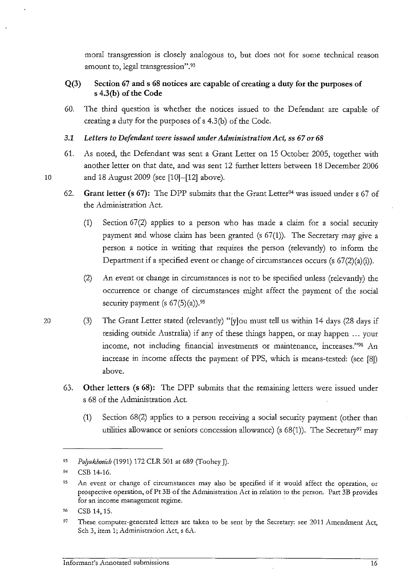moral transgression is closely analogous to, but does not for some technical reason amount to, legal transgression".93

# Q(3) Section 67 and s 68 notices are capable of creating a duty for the purposes of s 4.3(b) of the Code

60. The third question is whether the notices issued to the Defendant are capable of creating a duty for the purposes of s 4.3(b) of the Code.

3.1 *Letters to Defendant were issued under Administration Act,* ss 67 *or 68* 

- 61. As noted, the Defendant was sent a Grant Letter on 15 October 2005, together with another letter on that date, and was sent 12 further letters between 18 December 2006 10 and 18 August 2009 (see [10]-[12] above).
	- 62. Grant letter (s 67): The DPP submits that the Grant Letter<sup>94</sup> was issued under s 67 of the Administration Act.
		- (1) Section 67(2) applies to a person who has made a claim for a social security payment and whose claim has been granted (s 67(1)). The Secretary may give a person a notice in writing that requires the person (relevantly) to inform the Department if a specified event or change of circumstances occurs (s 67(2)(a)(i)).
		- (2) An event or change in circumstances is not to be specified unless (relevantly) the occurrence or change of circumstances might affect the payment of the social security payment (s  $67(5)(a)$ ).<sup>95</sup>
- 20 (3) The Grant Letter stated (relevantly) "[y]ou must tell us within 14 days (28 days if residing outside Australia) if any of these things happen, or may happen ... your income, not including financial investments or maintenance, increases."96 An increase in income affects the payment of PPS, which is means-tested: (see [8]) above.
	- 63. Other letters (s 68): The DPP submits that the remaining letters were issued under s 68 of the Administration Act.
		- (1) Section 68(2) applies to a person receiving a social security payment (other than utilities allowance or seniors concession allowance) (s  $68(1)$ ). The Secretary<sup>97</sup> may

<sup>93</sup> Polyukhovich (1991) 172 CLR 501 at 689 (Toohey J).

<sup>94</sup> CSB 14-16.

**<sup>95</sup> An event or change of circumstances may also be specified if it would affect the operation, or**  prospective operation, of Pt 3B of the Administration Act in relation to the person. Part 3B provides **for an income management regime.** 

<sup>96</sup>**CSB 14, 15.** 

<sup>&</sup>lt;sup>97</sup> These computer-generated letters are taken to be sent by the Secretary: see 2011 Amendment Act, Sch 3, item 1; Administration Act, s 6A.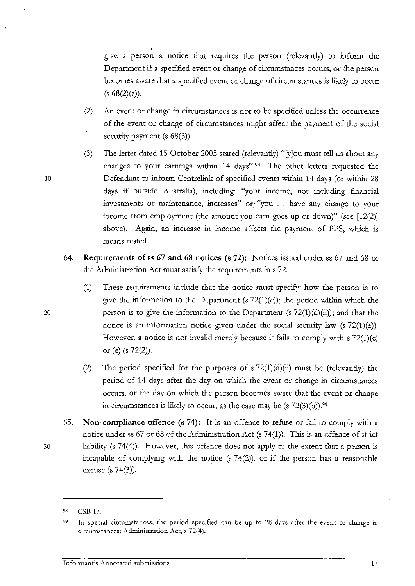give a person a notice that requires the person (relevantly) to inform the Department if a specified event or change of circumstances occurs, or the person becomes aware that a specified event or change of circumstances is likely to occur  $(s 68(2)(a)).$ 

- . (2) An event or change in circumstances is not to be specified unless the occurrence of the event or change of circumstances might affect the payment of the social security payment (s  $68(5)$ ).
- (3) The letter dated 15 October 2005 stated (relevantly) "[y]ou must tell us about any changes to your earnings within 14 days"98 The other letters requested the Defendant to inform Centrelink of specified events within 14 days (or within 28 days if outside Australia), including: "your income, not including financial investments or maintenance, increases" or "you . . . have any change to your income from employment (the amount you earn goes up or down)" (see [12(2)] above). Again, an increase in income affects the payment of PPS, which is means-tested.
- 64. Requirements of ss 67 and 68 notices (s 72): Notices issued under ss 67 and 68 of the Administration Act must satisfy the requirements in s 72.
- (1) These requirements include that the notice must specify: how the person is to give the information to the Department (s  $72(1)(c)$ ); the period within which the 20 person is to give the information to the Department  $(s 72(1)(d)(ii))$ ; and that the notice is an information notice given under the social security law (s 72(1)(e)). However, a notice is not invalid merely because it fails to comply with  $s$  72(1)(c) or (e) (s 72(2)).
	- (2) The period specified for the purposes of  $s$  72(1)(d)(ii) must be (relevantly) the period of 14 days after the day on which the event or change in circumstances occurs, or the day on which the person becomes aware that the event or change in circumstances is likely to occur, as the case may be (s  $72(3)(b)$ ).<sup>99</sup>
- 65. Non-compliance offence (s 74): It is an offence to refuse or fail to comply with a notice under ss 67 or 68 of the Administration Act (s 74(1)). This is an offence of strict 30 liability (s 74(4)). However, this offence does not apply to the extent that a person is incapable of complying with the notice  $(s 74(2))$ , or if the person has a reasonable excuse (s 74(3)).

<sup>98</sup>  CSB 17.

<sup>99</sup>  In special circumstances, the period specified can be up to 28 days after the event or change in circumstances: Administration Act, s 72(4).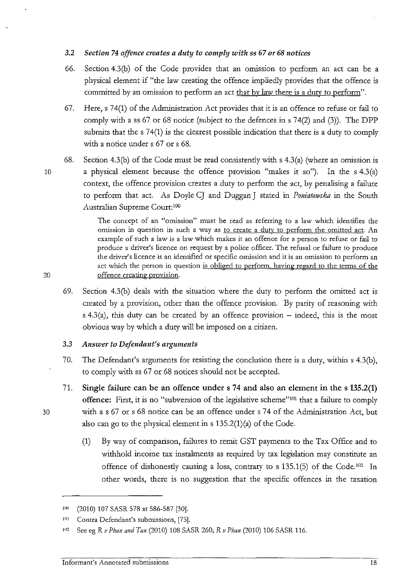#### 3.2 *Section 74 offence creates a duty to comply with ss* 67 *or 68 notices*

- 66. Section 4.3(b) of the Code provides that an omission to perform an act can be a physical element if "the law creating the offence impliedly provides that the offence is committed by an omission to perform an act that by law there is a duty to perform".
- 67. Here, s 74(1) of the Administration Act provides that it is an offence to refuse or fail to comply with a ss  $67$  or  $68$  notice (subject to the defences in s  $74(2)$  and  $(3)$ ). The DPP submits that the s 74(1) is the clearest possible indication that there is a duty to comply with a notice under s 67 or s 68.
- 68. Section 4.3(b) of the Code must be read consistently with s 4.3(a) (where an omission is 10 a physical element because the offence provision "makes it so"). In the s 4.3(a)

context, the offence provision creates a duty to perform the act, by penalising a failure to perform that act. As Doyle CJ and Duggan J stated in *Poniatowska* in the South Australian Supreme Court:<sup>100</sup>

The concept of an "omission" must be read as referring to a law which identifies the omission in question in such a way as to create a dutv to perform the omitted act. An example of such a law is a law which makes it an offence for a person to refuse or fail to produce a driver's licence on request by a police officer. The refusal or failure to produce the driver's licence is an identified or specific omission and it is an omission to perform an act which the person in question is obliged to perform, having regard to the terms of the 20 offence creating provision.

69. Section 4.3(b) deals with the situation where the duty to perform the omitted act is created by a provision, other than the offence provision. By parity of reasoning with  $s$  4.3(a), this duty can be created by an offence provision – indeed, this is the most obvious way by which a duty will be imposed on a citizen.

### 3.3 *Answer to Defendant's arguments*

- 70. The Defendant's arguments for resisting the conclusion there is a duty, within s 4.3(b), to comply with ss 67 or 68 notices should not be accepted.
- 71. Single failure can be an offence under s 74 and also an element in the s 135.2(1) offence: First, it is no "subversion of the legislative scheme"101 that a failure to comply 30 with a s 67 or s 68 notice can be an offence under s 74 of the Administration Act, but also can go to the physical element in  $s$  135.2(1)(a) of the Code.
	- (1) By way of comparison, failures to remit GST payments to the Tax Office and to withhold income tax instalments as required by tax legislation may constitute an offence of dishonestly causing a loss, contrary to s 135.1(5) of the Code.<sup>102</sup> In other words, there is no suggestion that the specific offences in the taxation

<sup>&#</sup>x27;(2010) 107 SASR 578 at 586-587 [30].

<sup>&</sup>lt;sup>101</sup> Contra Defendant's submissions, [75].

<sup>&</sup>lt;sup>102</sup> See eg R *v Phan and Tan* (2010) 108 SASR 260; R *v Phan* (2010) 106 SASR 116.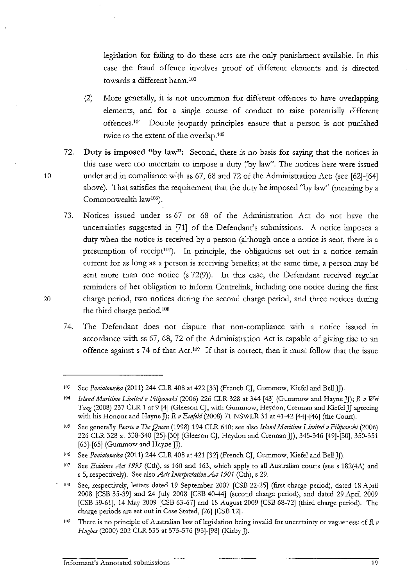legislation for failing to do these acts are the only punishment available. In this case the fraud offence *involves* proof of different elements and is directed towards a different harm. 10'

- (2) More generally, it is not uncommon for different offences to have overlapping elements, and for a single course of conduct to raise potentially different offences.104 Double jeopardy principles ensure that a person is not punished twice to the extent of the overlap.1us
- 72. **Duty is imposed "by law'':** Second, there is no basis for saying that the notices in this case were too uncertain to impose a duty "by law". The notices here were issued 10 under and in compliance with ss 67, 68 and 72 of the Administration Act: (see [62]-[64] above). That satisfies the requirement that the duty be imposed "by law" (meaning by a Commonwealth law106).
- 73. Notices issued under ss 67 or 68 of the Administration Act do not have the uncertainties suggested in [71] of the Defendant's submissions. A notice imposes a duty when the notice is received by a person (although once a notice is sent, there is a presumption of receipt $107$ ). In principle, the obligations set out in a notice remain current for as long as a person is receiving benefits; at the same time, a person may be sent more than one notice (s 72(9)). In this case, the Defendant received regular reminders of her obligation to inform Centrelink, including one notice during the first 20 charge period, two notices during the second charge period, and three notices during the third charge period.<sup>108</sup>
	- 7 4. The Defendant does not dispute that non-compliance with a notice issued in accordance with ss 67, 68, 72 of the Administration Act is capable of giving rise to an offence against s 74 of that  $Act^{109}$  If that is correct, then it must follow that the issue

<sup>&</sup>lt;sup>103</sup> See *Poniatowska* (2011) 244 CLR 408 at 422 [33] (French CJ, Gummow, Kiefel and Bell JJ).

<sup>104</sup>*Island Maritime Limited v Filipowski* (2006) 226 CLR 328 at 344 [43] (Gummow and Hayne JJ); R *v Wei Tang* (2008) 237 CLR 1 at 9 [4] (Gleeson CJ, with Gummow, Heydon, Crennan and Kiefel JJ agreeing with his Honour and Hayne J); R v Einfeld (2008) 71 NSWLR 31 at 41-42 [44]-[46] (the Court).

<sup>&</sup>lt;sup>105</sup> See generally *Pearce v The Queen* (1998) 194 CLR 610; see also *Island Maritime Limited v Filipowski* (2006) 226 CLR 328 at 338-340 [25]-[30] (Gleeson CJ, Heydon and CrennanJJ), 345-346 [49]-[50], 350-351 [63]-[65] (Gummow and Hayne JJ).

<sup>&</sup>lt;sup>106</sup> See *Poniatowska* (2011) 244 CLR 408 at 421 [32] (French CJ, Gummow, Kiefel and Bell JJ).

<sup>&</sup>lt;sup>107</sup> See *Evidence Act 1995* (Cth), ss 160 and 163, which apply to all Australian courts (see s 182(4A) and s 5, respectively). See also *Ads Intepretation A,t 1901* (Cth), s 29.

<sup>1</sup>ns See, respectively, letters dated 19 September 2007 [CSB 22-25] (first charge period), dated 18 April 2008 [CSB 35-39] and 24 July 2008 [CSB 40-44] (second charge period), and dated 29 April 2009 [CSB 59-61], 14 May 2009 [CSB 63-67] and 18 August 2009 [CSB 68-72] (third charge period). The charge periods are set out in Case Stated, [26] [CSB 12].

<sup>&</sup>lt;sup>109</sup> There is no principle of Australian law of legislation being invalid for uncertainty or vagueness: cf R  $\nu$ *Hughes* (2000) 202 CLR 535 at 575-576 [95]-[98] (Kirby J).